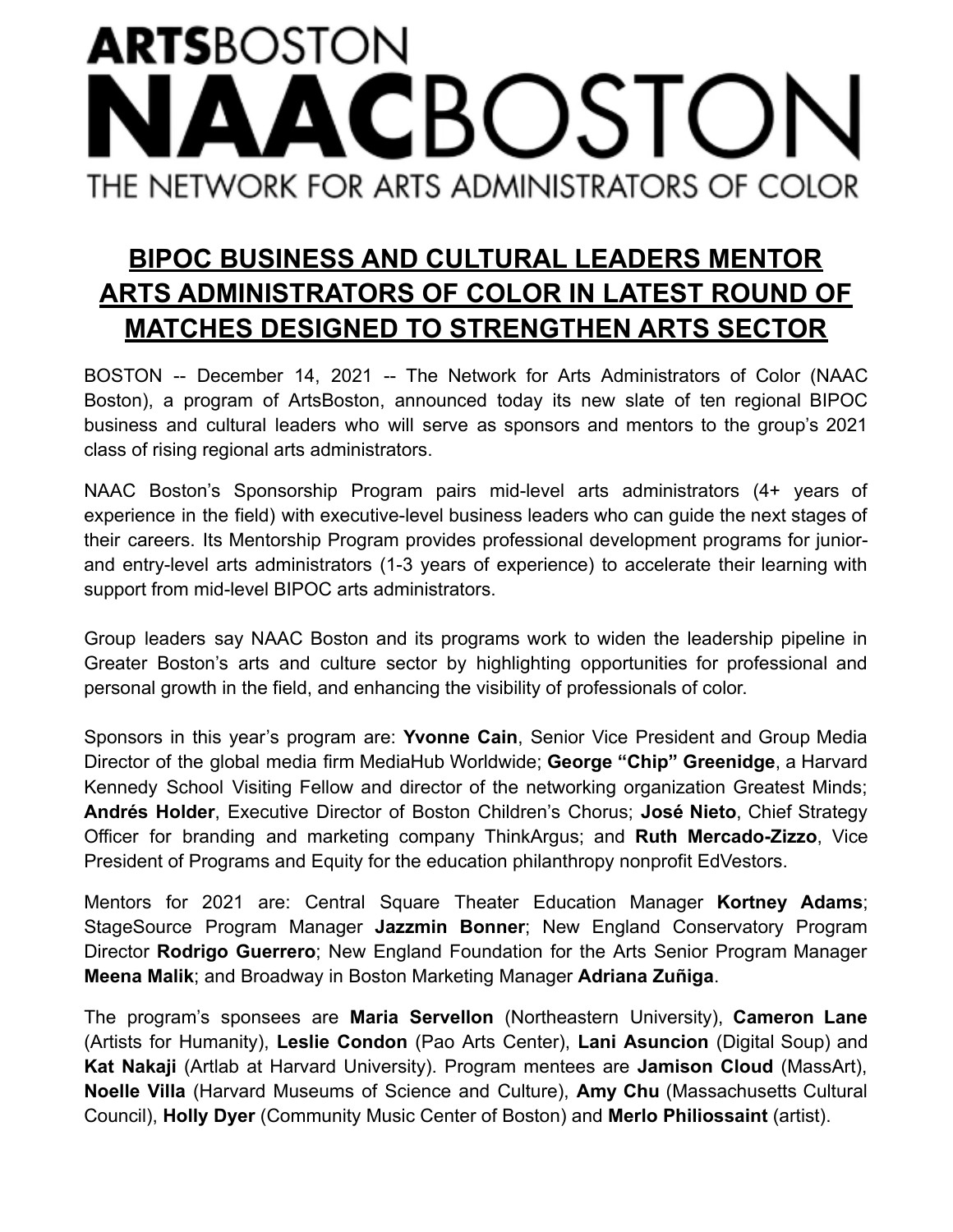## **ARTS**BOSTON **BOSTC** THE NETWORK FOR ARTS ADMINISTRATORS OF COLOR

## **BIPOC BUSINESS AND CULTURAL LEADERS MENTOR ARTS ADMINISTRATORS OF COLOR IN LATEST ROUND OF MATCHES DESIGNED TO STRENGTHEN ARTS SECTOR**

BOSTON -- December 14, 2021 -- The Network for Arts Administrators of Color (NAAC Boston), a program of ArtsBoston, announced today its new slate of ten regional BIPOC business and cultural leaders who will serve as sponsors and mentors to the group's 2021 class of rising regional arts administrators.

NAAC Boston's Sponsorship Program pairs mid-level arts administrators (4+ years of experience in the field) with executive-level business leaders who can guide the next stages of their careers. Its Mentorship Program provides professional development programs for juniorand entry-level arts administrators (1-3 years of experience) to accelerate their learning with support from mid-level BIPOC arts administrators.

Group leaders say NAAC Boston and its programs work to widen the leadership pipeline in Greater Boston's arts and culture sector by highlighting opportunities for professional and personal growth in the field, and enhancing the visibility of professionals of color.

Sponsors in this year's program are: **Yvonne Cain**, Senior Vice President and Group Media Director of the global media firm MediaHub Worldwide; **George "Chip" Greenidge**, a Harvard Kennedy School Visiting Fellow and director of the networking organization Greatest Minds; **Andrés Holder**, Executive Director of Boston Children's Chorus; **José Nieto**, Chief Strategy Officer for branding and marketing company ThinkArgus; and **Ruth Mercado-Zizzo**, Vice President of Programs and Equity for the education philanthropy nonprofit EdVestors.

Mentors for 2021 are: Central Square Theater Education Manager **Kortney Adams**; StageSource Program Manager **Jazzmin Bonner**; New England Conservatory Program Director **Rodrigo Guerrero**; New England Foundation for the Arts Senior Program Manager **Meena Malik**; and Broadway in Boston Marketing Manager **Adriana Zuñiga**.

The program's sponsees are **Maria Servellon** (Northeastern University), **Cameron Lane** (Artists for Humanity), **Leslie Condon** (Pao Arts Center), **Lani Asuncion** (Digital Soup) and **Kat Nakaji** (Artlab at Harvard University). Program mentees are **Jamison Cloud** (MassArt), **Noelle Villa** (Harvard Museums of Science and Culture), **Amy Chu** (Massachusetts Cultural Council), **Holly Dyer** (Community Music Center of Boston) and **Merlo Philiossaint** (artist).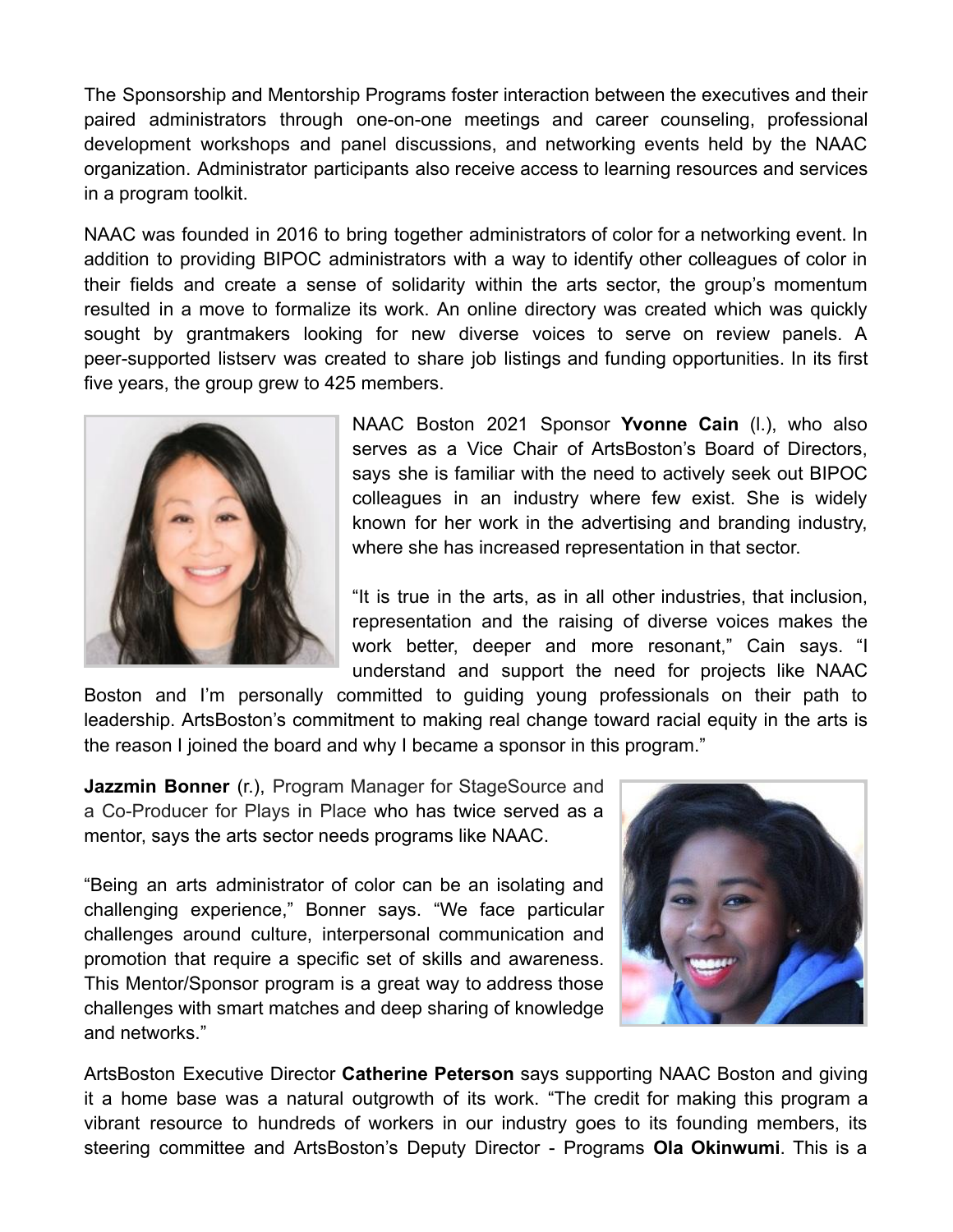The Sponsorship and Mentorship Programs foster interaction between the executives and their paired administrators through one-on-one meetings and career counseling, professional development workshops and panel discussions, and networking events held by the NAAC organization. Administrator participants also receive access to learning resources and services in a program toolkit.

NAAC was founded in 2016 to bring together administrators of color for a networking event. In addition to providing BIPOC administrators with a way to identify other colleagues of color in their fields and create a sense of solidarity within the arts sector, the group's momentum resulted in a move to formalize its work. An online directory was created which was quickly sought by grantmakers looking for new diverse voices to serve on review panels. A peer-supported listserv was created to share job listings and funding opportunities. In its first five years, the group grew to 425 members.



NAAC Boston 2021 Sponsor **Yvonne Cain** (l.), who also serves as a Vice Chair of ArtsBoston's Board of Directors, says she is familiar with the need to actively seek out BIPOC colleagues in an industry where few exist. She is widely known for her work in the advertising and branding industry, where she has increased representation in that sector.

"It is true in the arts, as in all other industries, that inclusion, representation and the raising of diverse voices makes the work better, deeper and more resonant," Cain says. "I understand and support the need for projects like NAAC

Boston and I'm personally committed to guiding young professionals on their path to leadership. ArtsBoston's commitment to making real change toward racial equity in the arts is the reason I joined the board and why I became a sponsor in this program."

**Jazzmin Bonner** (r.), Program Manager for StageSource and a Co-Producer for Plays in Place who has twice served as a mentor, says the arts sector needs programs like NAAC.

"Being an arts administrator of color can be an isolating and challenging experience," Bonner says. "We face particular challenges around culture, interpersonal communication and promotion that require a specific set of skills and awareness. This Mentor/Sponsor program is a great way to address those challenges with smart matches and deep sharing of knowledge and networks."



ArtsBoston Executive Director **Catherine Peterson** says supporting NAAC Boston and giving it a home base was a natural outgrowth of its work. "The credit for making this program a vibrant resource to hundreds of workers in our industry goes to its founding members, its steering committee and ArtsBoston's Deputy Director - Programs **Ola Okinwumi**. This is a